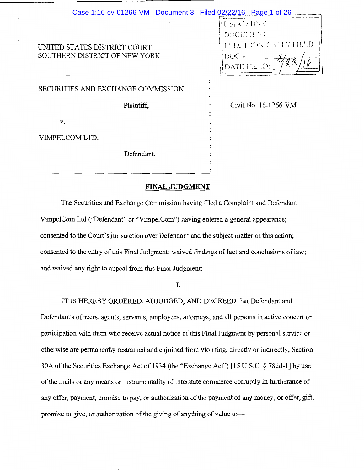| Case 1:16-cv-01266-VM Document 3 Filed 02/22/16 Page 1 of 26  |                                                                                                |
|---------------------------------------------------------------|------------------------------------------------------------------------------------------------|
| UNITED STATES DISTRICT COURT<br>SOUTHERN DISTRICT OF NEW YORK | <b>USDC SDNY</b><br><b>DOCUMENT</b><br>FUECTRONIC VLLY FILED<br>$DOC \#_{\sim}$<br>DATE FILED: |
| SECURITIES AND EXCHANGE COMMISSION,                           |                                                                                                |
| Plaintiff,                                                    | Civil No. 16-1266-VM                                                                           |
| V.                                                            |                                                                                                |
| VIMPELCOM LTD,                                                |                                                                                                |
| Defendant.                                                    |                                                                                                |

# **FINAL JUDGMENT**

The Securities and Exchange Commission having filed a Complaint and Defendant VimpelCom Ltd ("Defendant" or "VimpelCom") having entered a general appearance; consented to the Court's jurisdiction over Defendant and the subject matter of this action; consented to the entry of this Final Judgment; waived findings of fact and conclusions of law; and waived any right to appeal from this Final Judgment:

I.

IT IS HEREBY ORDERED, ADJUDGED, AND DECREED that Defendant and Defendant's officers, agents, servants, employees, attorneys, and all persons in active concert or participation with them who receive actual notice of this Final Judgment by personal service or otherwise are permanently restrained and enjoined from violating, directly or indirectly, Section 30A of the Securities Exchange Act of 1934 (the "Exchange Act") [15 U.S.C. § 78dd-l] by use of the mails or any means or instrumentality of interstate commerce corruptly in furtherance of any offer, payment, promise to pay, or authorization of the payment of any money, or offer, gift, promise to give, or authorization of the giving of anything of value to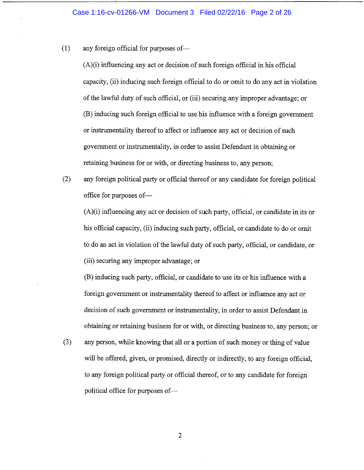Case 1:16-cv-01266-VM Document 3 Filed 02/22/16 Page 2 of 26

 $(1)$  any foreign official for purposes of-

(A)(i) influencing any act or decision of such foreign official in his official capacity, (ii) inducing such foreign official to do or omit to do any act in violation of the lawful duty of such official, or (iii) securing any improper advantage; or (B) inducing such foreign official to use his influence with a foreign government or instrumentality thereof to affect or influence any act or decision of such government or instrumentality, in order to assist Defendant in obtaining or retaining business for or with, or directing business to, any person;

(2) any foreign political party or official thereof or any candidate for foreign political office for purposes of-

(A )(i) influencing any act or decision of such party, official, or candidate in its or his official capacity, (ii) inducing such party, official, or candidate to do or omit to do an act in violation of the lawful duty of such party, official, or candidate, or (iii) securing any improper advantage; or

(B) inducing such party, official, or candidate to use its or his influence with a foreign government or instrumentality thereof to affect or influence any act or decision of such government or instrumentality, in order to assist Defendant in obtaining or retaining business for or with, or directing business to, any person; or

(3) any person, while knowing that all or a portion of such money or thing of value will be offered, given, or promised, directly or indirectly, to any foreign official, to any foreign political party or official thereof, or to any candidate for foreign political office for purposes of-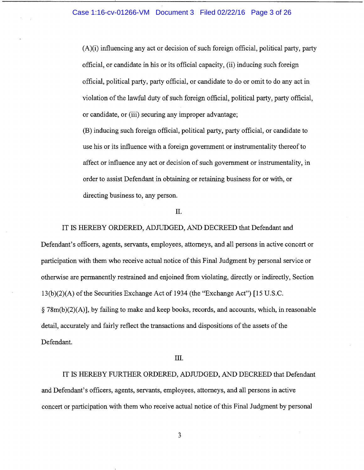(A)(i) influencing any act or decision of such foreign official, political party, party official, or candidate in his or its official capacity, (ii) inducing such foreign official, political party, party official, or candidate to do or omit to do any act in violation of the lawful duty of such foreign official, political party, party official, or candidate, or (iii) securing any improper advantage;

(B) inducing such foreign official, political party, party official, or candidate to use his or its influence with a foreign government or instrumentality thereof to affect or influence any act or decision of such government or instrumentality, in order to assist Defendant in obtaining or retaining business for or with, or directing business to, any person.

#### II.

IT IS HEREBY ORDERED, ADJUDGED, AND DECREED that Defendant and Defendant's officers, agents, servants, employees, attorneys, and all persons in active concert or participation with them who receive actual notice of this Final Judgment by personal service or otherwise are permanently restrained and enjoined from violating, directly or indirectly, Section 13(b)(2)(A) of the Securities Exchange Act of 1934 (the "Exchange Act") [15 U.S.C. § 78m(b)(2)(A)], by failing to make and keep books, records, and accounts, which, in reasonable detail, accurately and fairly reflect the transactions and dispositions of the assets of the Defendant.

## III.

IT IS HEREBY FURTHER ORDERED, ADJUDGED, AND DECREED that Defendant and Defendant's officers, agents, servants, employees, attorneys, and all persons in active concert or participation with them who receive actual notice of this Final Judgment by personal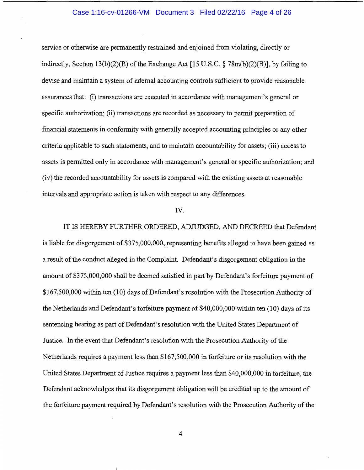## Case 1:16-cv-01266-VM Document 3 Filed 02/22/16 Page 4 of 26

service or otherwise are permanently restrained and enjoined from violating, directly or indirectly, Section 13(b)(2)(B) of the Exchange Act [15 U.S.C. § 78m(b)(2)(B)], by failing to devise and maintain a system of internal accounting controls sufficient to provide reasonable assurances that: (i) transactions are executed in accordance with management's general or specific authorization; (ii) transactions are recorded as necessary to permit preparation of financial statements in conformity with generally accepted accounting principles or any other criteria applicable to such statements, and to maintain accountability for assets; (iii) access to assets is permitted only in accordance with management's general or specific authorization; and (iv) the recorded accountability for assets is compared with the existing assets at reasonable intervals and appropriate action is taken with respect to any differences.

#### IV.

IT IS HEREBY FURTHER ORDERED, ADJUDGED, AND DECREED that Defendant is liable for disgorgement of \$375,000,000, representing benefits alleged to have been gained as a result of the conduct alleged in the Complaint. Defendant's disgorgement obligation in the amount of \$375,000,000 shall be deemed satisfied in part by Defendant's forfeiture payment of \$167,500,000 within ten (10) days of Defendant's resolution with the Prosecution Authority of the Netherlands and Defendant's forfeiture payment of \$40,000,000 within ten (10) days of its sentencing hearing as part of Defendant's resolution with the United States Department of Justice. In the event that Defendant's resolution with the Prosecution Authority of the Netherlands requires a payment less than \$167,500,000 in forfeiture or its resolution with the United States Department of Justice requires a payment less than \$40,000,000 in forfeiture, the Defendant acknowledges that its disgorgement obligation will be credited up to the amount of the forfeiture payment required by Defendant's resolution with the Prosecution Authority of the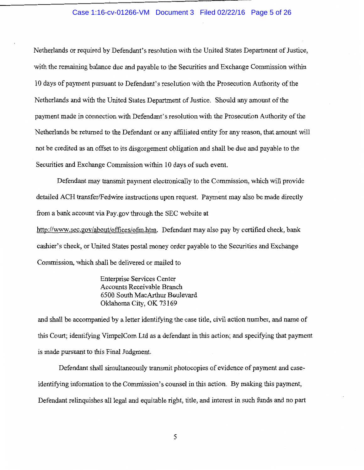# Case 1:16-cv-01266-VM Document 3 Filed 02/22/16 Page 5 of 26

Netherlands or required by Defendant's resolution with the United States Department of Justice, with the remaining balance due and payable to the Securities and Exchange Commission within 10 days of payment pursuant to Defendant's resolution with the Prosecution Authority of the Netherlands and with the United States Department of Justice. Should any amount of the payment made in connection with Defendant's resolution with the Prosecution Authority of the Netherlands be returned to the Defendant or any affiliated entity for any reason, that amount will not be credited as an offset to its disgorgement obligation and shall be due and payable to the Securities and Exchange Commission within 10 days of such event.

Defendant may transmit payment electronically to the Commission, which will provide detailed ACH transfer/Fedwire instructions upon request. Payment may also be made directly from a bank account via Pay.gov through the SEC website at

http://www.sec.gov/about/offices/ofm.htm. Defendant may also pay by certified check, bank cashier's check, or United States postal money order payable to the Securities and Exchange Commission, which shall be delivered or mailed to

> Enterprise Services Center Accounts Receivable Branch 6500 South MacArthur Boulevard Oklahoma City, OK 73169

and shall be accompanied by a letter identifying the case title, civil action number, and name of this Court; identifying VimpelCom Ltd as a defendant in this action; and specifying that payment is made pursuant to this Final Judgment.

Defendant shall simultaneously transmit photocopies of evidence of payment and caseidentifying information to the Commission's counsel in this action. By making this payment, Defendant relinquishes all legal and equitable right, title, and interest in such funds and no part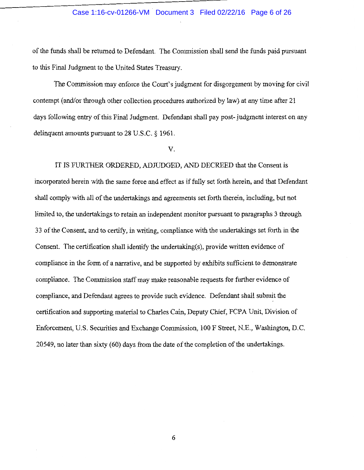# Case 1:16-cv-01266-VM Document 3 Filed 02/22/16 Page 6 of 26

of the funds shall be returned to Defendant. The Commission shall send the funds paid pursuant to this Final Judgment to the United States Treasury.

The Commission may enforce the Court's judgment for disgorgement by moving for civil contempt (and/or through other collection procedures authorized by law) at any time after 21 days following entry of this Final Judgment. Defendant shall pay post- judgment interest on any delinquent amounts pursuant to 28 U.S.C. § 1961.

v.

IT IS FURTHER ORDERED, ADJUDGED, AND DECREED that the Consent is incorporated herein with the same force and effect as if fully set forth herein, and that Defendant shall comply with all of the undertakings and agreements set forth therein, including, but not limited to, the undertakings to retain an independent monitor pursuant to paragraphs 3 through 33 of the Consent, and to certify, in writing, compliance with the undertakings set forth in the Consent. The certification shall identify the undertaking(s), provide written evidence of compliance in the form of a narrative, and be supported by exhibits sufficient to demonstrate compliance. The Commission staff may make reasonable requests for further evidence of compliance, and Defendant agrees to provide such evidence. Defendant shall submit the certification and supporting material to Charles Cain, Deputy Chief, FCPA Unit, Division of Enforcement, U.S. Securities and Exchange Commission, 100 F Street, N.E., Washington, D.C. 20549, no later than sixty (60) days from the date of the completion of the undertakings.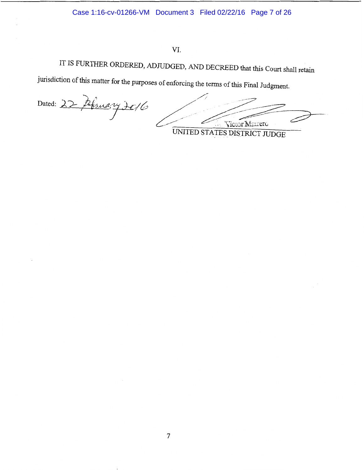# VI.

IT IS FURTHER ORDERED, ADJUDGED, AND DECREED that this Court shall retain

jurisdiction of this matter for the purposes of enforcing the terms of this Final Judgment. Dated: 22 Jépsuary 2016 *Price STATES DISTRICT JUDGE* Victor Marrer.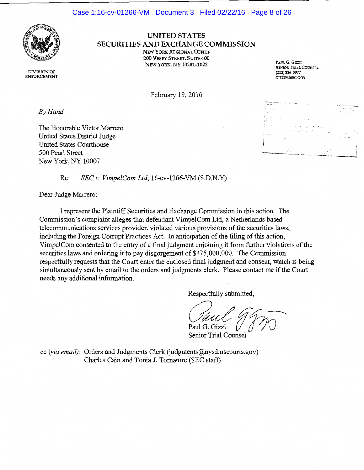

**UNITED STATES SECURITIES AND EXCHANGE COMMISSION** 

NEW YORK REGIONAL OFFICE 200 VESEY STREET, SUITE 400 NEW YORK, NY 10281-1022

PAULG.GIZZI SENIOR TRIAL COUNSEL (212) 336-0077 GIZZIP@SEC.GOV

DIVISION OF ENFORCEMENT

February 19, 2016

*By Hand* 

The Honorable Victor Marrero United States District Judge United States Courthouse 500 Pearl Street New York, NY 10007

 $\frac{1}{2}$  $\cdot$   $\cdot$  $\frac{1}{\sqrt{1-\frac{1}{2}}\sqrt{1-\frac{1}{2}}\sqrt{1-\frac{1}{2}}\sqrt{1-\frac{1}{2}}\sqrt{1-\frac{1}{2}}\sqrt{1-\frac{1}{2}}\sqrt{1-\frac{1}{2}}\sqrt{1-\frac{1}{2}}\sqrt{1-\frac{1}{2}}\sqrt{1-\frac{1}{2}}\sqrt{1-\frac{1}{2}}\sqrt{1-\frac{1}{2}}\sqrt{1-\frac{1}{2}}\sqrt{1-\frac{1}{2}}\sqrt{1-\frac{1}{2}}\sqrt{1-\frac{1}{2}}\sqrt{1-\frac{1}{2}}\sqrt{1-\frac{1}{2}}\sqrt{1-\frac{1}{2}}\sqrt{1-\frac$ 

Re: *SEC v. VimpelCom Ltd,* 16-cv-1266-VM (S.D.N.Y)

Dear Judge Marrero:

I represent the Plaintiff Securities and Exchange Commission in this action. The Commission's complaint alleges that defendant VimpelCom Ltd, a Netherlands based telecommunications services provider, violated various provisions of the securities laws, including the Foreign Corrupt Practices Act. In anticipation of the filing of this action, VimpelCom consented to the entry of a final judgment enjoining it from further violations of the securities laws and ordering it to pay disgorgement of \$375,000,000. The Commission respectfully requests that the Court enter the enclosed final judgment and consent, which is being simultaneously sent by email to the orders and judgments clerk. Please contact me if the Court needs any additional information.

Respectfully submitted,

Saul 9925 Paul G. Gizzi

Senior Trial Counsel

cc *(via email)*: Orders and Judgments Clerk *(judgments@nysd.uscourts.gov)* Charles Cain and Tonia J. Tornatore (SEC staff)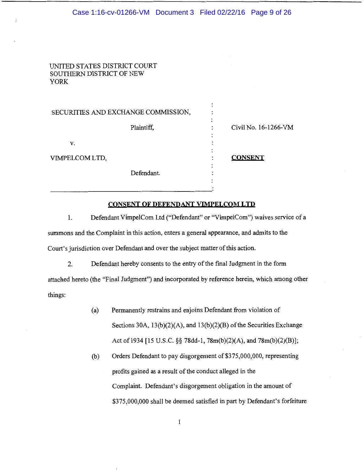# UNITED STATES DISTRICT COURT SOUTHERN DISTRICT OF NEW YORK

| SECURITIES AND EXCHANGE COMMISSION, |                      |
|-------------------------------------|----------------------|
| Plaintiff,                          | Civil No. 16-1266-VM |
| V.                                  |                      |
| VIMPELCOM LTD,                      | <b>CONSENT</b>       |
| Defendant.                          |                      |
|                                     | $\bullet$            |

# **CONSENT OF DEFENDANT VIMPELCOM LTD**

1. Defendant VimpelCom Ltd ("Defendant" or "VimpelCom") waives service of a summons and the Complaint in this action, enters a general appearance, and admits to the Court's jurisdiction over Defendant and over the subject matter of this action.

2. Defendant hereby consents to the entry of the final Judgment in the form attached hereto (the "Final Judgment") and incorporated by reference herein, which among other things:

- (a) Permanently restrains and enjoins Defendant from violation of Sections 30A, 13(b)(2)(A), and 13(b)(2)(B) of the Securities Exchange Act of1934 [15 U.S.C. §§ 78dd-1, 78m(b)(2)(A), and 78m(b)(2)(B)];
- (b) Orders Defendant to pay disgorgement of \$375,000,000, representing profits gained as a result of the conduct alleged in the Complaint. Defendant's disgorgement obligation in the amount of \$375,000,000 shall be deemed satisfied in part by Defendant's forfeiture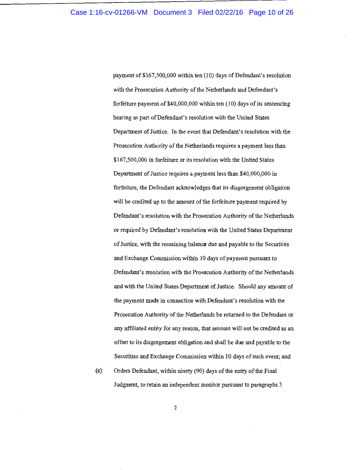payment of\$167,500,000 within ten (10) days of Defendant's resolution with the Prosecution Authority of the Netherlands and Defendant's forfeiture payment of\$40,000,000 within ten (10) days of its sentencing hearing as part of Defendant's resolution with the United States Department of Justice. In the event that Defendant's resolution with the Prosecution Authority of the Netherlands requires a payment less than \$167 ,500,000 in forfeiture or its resolution with the United States Department of Justice requires a payment less than \$40,000,000 in forfeiture, the Defendant acknowledges that its disgorgement obligation will be credited up to the amount of the forfeiture payment required by Defendant's resolution with the Prosecution Authority of the Netherlands or required by Defendant's resolution with the United States Department of Justice, with the remaining balance due and payable to the Securities and Exchange Commission within 10 days of payment pursuant to Defendant's resolution with the Prosecution Authority of the Netherlands and with the United States Department of Justice. Should any amount of the payment made in connection with Defendant's resolution with the Prosecution Authority of the Netherlands be returned to the Defendant or any affiliated entity for any reason, that amount will not be credited as an offset to its disgorgement obligation and shall be due and payable to the Securities and Exchange Commission within 10 days of such event; and

(c) Orders Defendant, within ninety (90) days of the entry of the Final Judgment, to retain an independent monitor pursuant to paragraphs 3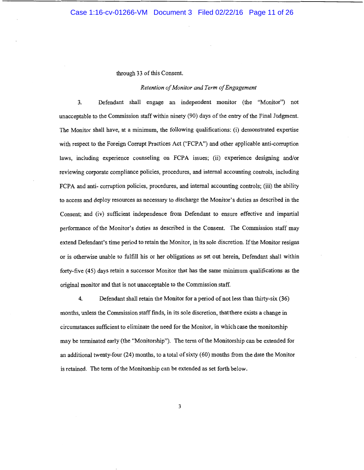through 33 of this Consent.

#### *Retention of Monitor and Term of Engagement*

3. Defendant shall engage an independent monitor (the "Monitor") not unacceptable to the Commission staff within ninety (90) days of the entry of the Final Judgment. The Monitor shall have, at a minimum, the following qualifications: (i) demonstrated expertise with respect to the Foreign Corrupt Practices Act ("FCPA") and other applicable anti-corruption laws, including experience counseling on FCPA issues; (ii) experience designing and/or reviewing corporate compliance policies, procedures, and internal accounting controls, including FCPA and anti- corruption policies, procedures, and internal accounting controls; (iii) the ability to access and deploy resources as necessary to discharge the Monitor's duties as described in the Consent; and (iv) sufficient independence from Defendant to ensure effective and impartial performance of the Monitor's duties as described in the Consent. The Commission staff may extend Defendant's time period to retain the Monitor, in its sole discretion. If the Monitor resigns or is otherwise unable to fulfill his or her obligations as set out herein, Defendant shall within forty-five (45) days retain a successor Monitor that has the same minimum qualifications as the original monitor and that is not unacceptable to the Commission staff.

4. Defendant shall retain the Monitor for a period of not less than thirty-six (36) months, unless the Commission staff finds, in its sole discretion, thatthere exists a change in circumstances sufficient to eliminate the need for the Monitor, in which case the monitorship may be terminated early (the "Monitorship"). The term of the Monitorship can be extended for an additional twenty-four (24) months, to a total of sixty (60) months from the date the Monitor is retained. The term of the Monitorship can be extended as set forth below.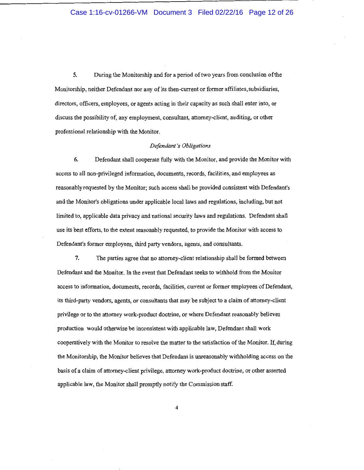# Case 1:16-cv-01266-VM Document 3 Filed 02/22/16 Page 12 of 26

5. During the Monitorship and for a period of two years from conclusion ofthe Monitorship, neither Defendant nor any of its then-current or former affiliates, subsidiaries, directors, officers, employees, or agents acting in their capacity as such shall enter into, or discuss the possibility of, any employment, consultant, attorney-client, auditing, or other professional relationship with the Monitor.

#### *Defendant's Obligations*

6. Defendant shall cooperate fully with the Monitor, and provide the Monitor with access to all non-privileged information, documents, records, facilities, and employees as reasonablyrequested by the Monitor; such access shall be provided consistent with Defendant's and the Monitor's obligations under applicable local laws and regulations, including, but not limited to, applicable data privacy and national security laws and regulations. Defendant shall use its best efforts, to the extent reasonably requested, to provide the Monitor with access to Defendant's former employees, third party vendors, agents, and consultants.

7. The parties agree that no attorney-client relationship shall be formed between Defendant and the Monitor. In the event that Defendant seeks to withhold from the Monitor access to information, documents, records, facilities, current or former employees of Defendant, its third-party vendors, agents, or consultants that may be subject to a claim of attorney-client privilege or to the attorney work-product doctrine, or where Defendant reasonably believes production would otherwise be inconsistent with applicable law, Defendant shall work cooperatively with the Monitor to resolve the matter to the satisfaction of the Monitor. If, during the Monitorship, the Monitor believes that Defendant is unreasonably withholding access on the basis of a claim of attorney-client privilege, attorney work-product doctrine, or other asserted applicable law, the Monitor shall promptly notify the Commission staff.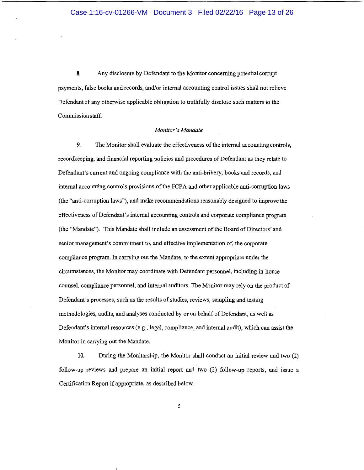8. Any disclosure by Defendant to the Monitor concerning potential corrupt payments, false books and records, and/or internal accounting control issues shall not relieve Defendant of any otherwise applicable obligation to truthfully disclose such matters to the Commission staff.

#### *Monitor's Mandate*

9. The Monitor shall evaluate the effectiveness of the internal accounting controls, recordkeeping, and financial reporting policies and procedures of Defendant as they relate to Defendant's current and ongoing compliance with the anti-bribery, books and records, and internal accounting controls provisions of the FCPA and other applicable anti-corruption laws (the "anti-corruption laws"), and make recommendations reasonably designed to improve the effectiveness of Defendant's internal accounting controls and corporate compliance program (the "Mandate"). This Mandate shall include an assessment of the Board of Directors' and senior management's commitment to, and effective implementation of, the corporate compliance program. In carrying out the Mandate, to the extent appropriate under the circumstances, the Monitor may coordinate with Defendant personnel, including in-house counsel, compliance personnel, and internal auditors. The Monitor may rely on the product of Defendant's processes, such as the results of studies, reviews, sampling and testing methodologies, audits, and analyses conducted by or on behalf of Defendant, as well as Defendant's internal resources (e.g., legal, compliance, and internal audit), which can assist the Monitor in carrying out the Mandate.

10. During the Monitorship, the Monitor shall conduct an initial review and two (2) follow-up reviews and prepare an initial report and two (2) follow-up reports, and issue a Certification Report if appropriate, as described below.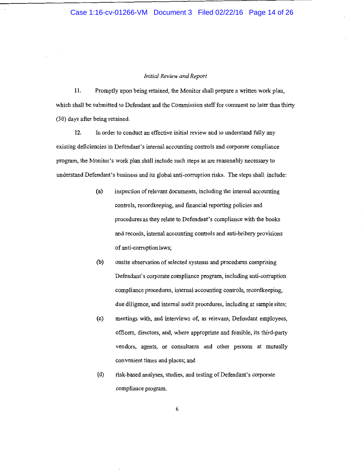#### *Initial Review and Report*

11. Promptly upon being retained, the Monitor shall prepare a written work plan, which shall be submitted to Defendant and the Commission staff for comment no later than thirty (30) days after being retained.

12. In order to conduct an effective initial review and to understand fully any existing deficiencies in Defendant's internal accounting controls and corporate compliance program, the Monitor's work plan shall include such steps as are reasonably necessary to understand Defendant's business and its global anti-corruption risks. The steps shall include:

- (a) inspection ofrelevant documents, including the internal accounting controls, recordkeeping, and financial reporting policies and procedures as they relate to Defendant's compliance with the books and records, internal accounting controls and anti-bribery provisions of anti-corruption laws;
- (b) onsite observation of selected systems and procedures comprising Defendant's corporate compliance program, including anti-corruption compliance procedures, internal accounting controls, recordkeeping, due diligence, and internal audit procedures, including at sample sites;
- (c) meetings with, and interviews of, as relevant, Defendant employees, officers, directors, and, where appropriate and feasible, its third-party vendors, agents, or consultants and other persons at mutually convenient times and places; and
- (d) risk-based analyses, studies, and testing of Defendant's corporate compliance program.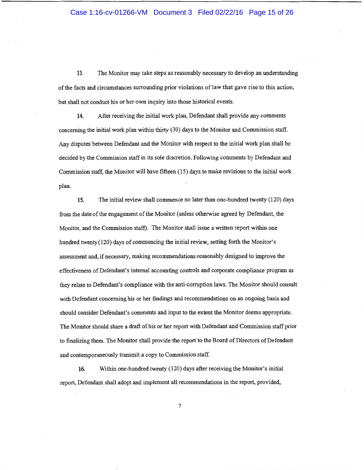## Case 1:16-cv-01266-VM Document 3 Filed 02/22/16 Page 15 of 26

13. The Monitor may take steps as reasonably necessary to develop an understanding of the facts and circumstances surrounding prior violations oflaw that gave rise to this action, but shall not conduct his or her own inquiry into those historical events.

14. After receiving the initial work plan, Defendant shall provide any comments concerning the initial work plan within thirty (30) days to the Monitor and Commission staff. Any disputes between Defendant and the Monitor with respect to the initial work plan shall be decided by the Commission staff in its sole discretion. Following comments by Defendant and Commission staff, the Monitor will have fifteen (15) days to make revisions to the initial work plan.

15. The initial review shall commence no later than one-hundred twenty (120) days from the date of the engagement of the Monitor (unless otherwise agreed by Defendant, the Monitor, and the Commission staff). The Monitor shall issue a written report within one hundred twenty(120) days of commencing the initial review, setting forth the Monitor's assessment and, if necessary, making recommendations reasonably designed to improve the effectiveness of Defendant's internal accounting controls and corporate compliance program as they relate to Defendant's compliance with the anti-corruption laws. The Monitor should consult with Defendant concerning his or her findings and recommendations on an ongoing basis and should consider Defendant's comments and input to the extent the Monitor deems appropriate. The Monitor should share a draft of his or her report with Defendant and Commission staff prior to finalizing them. The Monitor shall provide the report to the Board of Directors of Defendant and contemporaneously transmit a copy to Commission staff.

16. Within one-hundred twenty (120) days after receiving the Monitor's initial report, Defendant shall adopt and implement all recommendations in the report, provided,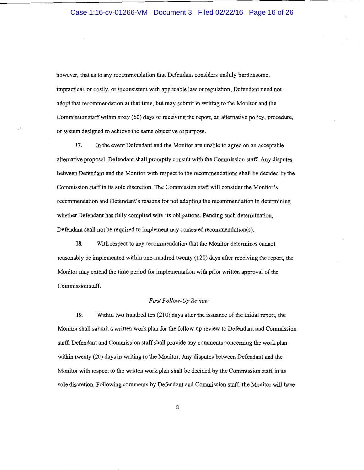# Case 1:16-cv-01266-VM Document 3 Filed 02/22/16 Page 16 of 26

however, that as to any recommendation that Defendant considers unduly burdensome, impractical, or costly, or inconsistent with applicable law or regulation, Defendant need not adopt that recommendation at that time, but may submit in writing to the Monitor and the Commission staff within sixty (60) days of receiving the report, an alternative policy, procedure, or system designed to achieve the same objective or purpose.

17. In the event Defendant and the Monitor are unable to agree on an acceptable alternative proposal, Defendant shall promptly consult with the Commission staff. Any disputes between Defendant and the Monitor with respect to the recommendations shall be decided by the Commission staff in its sole discretion. The Commission staff will consider the Monitor's recommendation and Defendant's reasons for not adopting the recommendation in determining whether Defendant has fully complied with its obligations. Pending such determination, Defendant shall not be required to implement any contested recommendation(s).

**18.** With respect to any recommendation that the Monitor determines cannot reasonably be implemented within one-hundred twenty (120) days after receiving the report, the Monitor may extend the time period for implementation with prior written approval of the Commission staff.

#### *First Follow-Up Review*

**19.** Within two hundred ten (210) days after the issuance of the initial report, the Monitor shall submit a written work plan for the follow-up review to Defendant and Commission staff. Defendant and Commission staff shall provide any comments concerning the work plan within twenty (20) days in writing to the Monitor. Any disputes between Defendant and the Monitor with respect to the written work plan shall be decided by the Commission staff in its sole discretion. Following comments by Defendant and Commission staff, the Monitor will have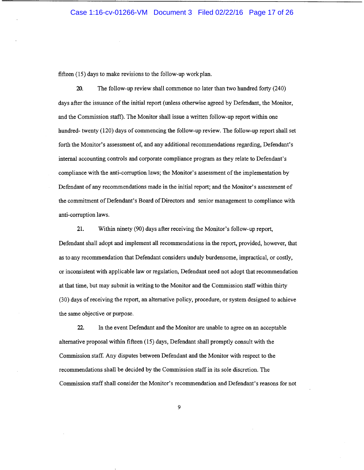fifteen (15) days to make revisions to the follow-up work plan.

20. The follow-up review shall commence no later than two hundred forty (240) days after the issuance of the initial report (unless otherwise agreed by Defendant, the Monitor, and the Commission staff). The Monitor shall issue a written follow-up report within one hundred- twenty (120) days of commencing the follow-up review. The follow-up report shall set forth the Monitor's assessment of, and any additional recommendations regarding, Defendant's internal accounting controls and corporate compliance program as they relate to Defendant's compliance with the anti-corruption laws; the Monitor's assessment of the implementation by Defendant of any recommendations made in the initial report; and the Monitor's assessment of the commitment of Defendant's Board of Directors and senior management to compliance with anti-corruption laws.

21. Within ninety (90) days after receiving the Monitor's follow-up report, Defendant shall adopt and implement all recommendations in the report, provided, however, that as to any recommendation that Defendant considers unduly burdensome, impractical, or costly, or inconsistent with applicable law or regulation, Defendant need not adopt that recommendation at that time, but may submit in writing to the Monitor and the Commission staff within thirty (30) days ofreceiving the report, an alternative policy, procedure, or system designed to achieve the same objective or purpose.

22. In the event Defendant and the Monitor are unable to agree on an acceptable alternative proposal within fifteen (15) days, Defendant shall promptly consult with the Commission staff Any disputes between Defendant and the Monitor with respect to the recommendations shall be decided by the Commission staff in its sole discretion. The Commission staff shall consider the Monitor's recommendation and Defendant's reasons for not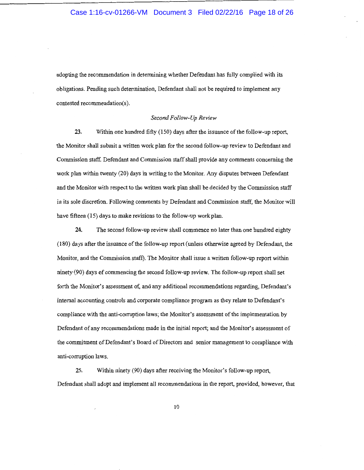# Case 1:16-cv-01266-VM Document 3 Filed 02/22/16 Page 18 of 26

adopting the recommendation in determining whether Defendant has fully complied with its obligations. Pending such determination, Defendant shall not be required to implement any contested recommendation(s).

#### *Second Follow-Up Review*

23. Within one hundred fifty (150) days after the issuance of the follow-up report, the Monitor shall submit a written work plan for the second follow-up review to Defendant and Commission staff. Defendant and Commission staff shall provide any comments concerning the work plan within twenty (20) days in writing to the Monitor. Any disputes between Defendant and the Monitor with respect to the written work plan shall be decided by the Commission staff in its sole discretion. Following comments by Defendant and Commission staff, the Monitor will have fifteen (15) days to make revisions to the follow-up work plan.

24. The second follow-up review shall commence no later than one hundred eighty (180) days after the issuance of the follow-up report (unless otherwise agreed by Defendant, the Monitor, and the Commission staff). The Monitor shall issue a written follow-up report within ninety (90) days of commencing the second follow-up review. The follow-up report shall set forth the Monitor's assessment of, and any additional recommendations regarding, Defendant's internal accounting controls and corporate compliance program as they relate to Defendant's compliance with the anti-corruption laws; the Monitor's assessment of the implementation by Defendant of any recommendations made in the initial report; and the Monitor's assessment of the commitment of Defendant's Board of Directors and senior management to compliance with anti-corruption laws.

25. Within ninety (90) days after receiving the Monitor's follow-up report, Defendant shall adopt and implement all recommendations in the report, provided, however, that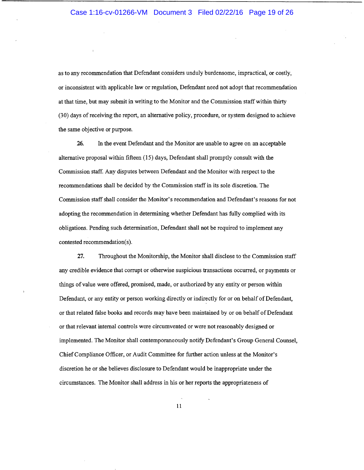as to any recommendation that Defendant considers unduly burdensome, impractical, or costly, or inconsistent with applicable law or regulation, Defendant need not adopt that recommendation at that time, but may submit in writing to the Monitor and the Commission staff within thirty (30) days ofreceiving the report, an alternative policy, procedure, or system designed to achieve the same objective or purpose.

26. In the event Defendant and the Monitor are unable to agree on an acceptable alternative proposal within fifteen ( 15) days, Defendant shall promptly consult with the Commission staff. Any disputes between Defendant and the Monitor with respect to the recommendations shall be decided by the Commission staff in its sole discretion. The Commission staff shall consider the Monitor's recommendation and Defendant's reasons for not adopting the recommendation in determining whether Defendant has fully complied with its obligations. Pending such determination, Defendant shall not be required to implement any contested recommendation(s).

27. Throughout the Monitorship, the Monitor shall disclose to the Commission staff any credible evidence that corrupt or otherwise suspicious transactions occurred, or payments or things of value were offered, promised, made, or authorized by any entity or person within Defendant, or any entity or person working directly or indirectly for or on behalf of Defendant, or that related false books and records may have been maintained by or on behalf of Defendant or that relevant internal controls were circumvented or were not reasonably designed or implemented. The Monitor shall contemporaneously notify Defendant's Group General Counsel, Chief Compliance Officer, or Audit Committee for further action unless at the Monitor's discretion he or she believes disclosure to Defendant would be inappropriate under the circumstances. The Monitor shall address in his or her reports the appropriateness of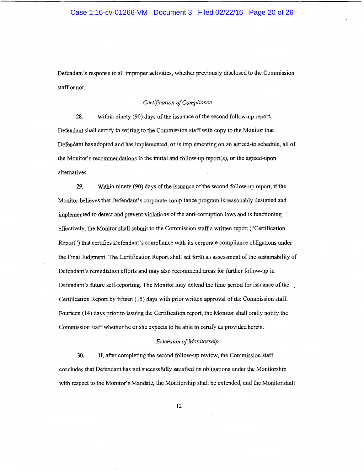Defendant's response to all improper activities, whether previously disclosed to the Commission staff ornot.

### *Certification of Compliance*

28. Within ninety (90) days of the issuance of the second follow-up report, Defendant shall certify in writing to the Commission staff with copy to the Monitor that Defendant has adopted and has implemented, or is implementing on an agreed-to schedule, all of the Monitor's recommendations in the initial and follow-up report(s), or the agreed-upon alternatives.

29. Within ninety (90) days of the issuance of the second follow-up report, if the Monitor believes that Defendant's corporate compliance program is reasonably designed and implemented to detect and prevent violations of the anti-corruption laws and is functioning effectively, the Monitor shall submit to the Commission staff a written report ("Certification Report") that certifies Defendant's compliance with its corporate compliance obligations under the Final Judgment. The Certification Report shall set forth an assessment of the sustainability of Defendant's remediation efforts and may also recommend areas for further follow-up in Defendant's future self-reporting. The Monitor may extend the time period for issuance of the Certification Report by fifteen (15) days with prior written approval of the Commission staff. Fourteen (14) days prior to issuing the Certification report, the Monitor shall orally notify the Commission staff whether he or she expects to be able to certify as provided herein.

#### *Extension of Monitorship*

30. If, after completing the second follow-up review, the Commission staff concludes that Defendant has not successfully satisfied its obligations under the Monitorship with respect to the Monitor's Mandate, the Monitorship shall be extended, and the Monitor shall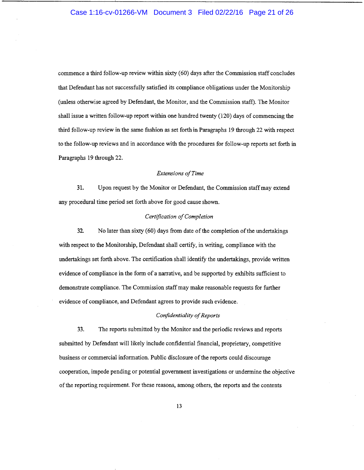# Case 1:16-cv-01266-VM Document 3 Filed 02/22/16 Page 21 of 26

commence a third follow-up review within sixty (60) days after the Commission staff concludes that Defendant has not successfully satisfied its compliance obligations under the Monitorship (unless otherwise agreed by Defendant, the Monitor, and the Commission staff). The Monitor shall issue a written follow-up report within one hundred twenty (120) days of commencing the third follow-up review in the same fashion as set forth in Paragraphs 19 through 22 with respect to the follow-up reviews and in accordance with the procedures for follow-up reports set forth in Paragraphs 19 through 22.

#### *Extensions of Time*

31. Upon request by the Monitor or Defendant, the Commission staff may extend any procedural time period set forth above for good cause shown.

#### *Certification of Completion*

32. No later than sixty (60) days from date of the completion of the undertakings with respect to the Monitorship, Defendant shall certify, in writing, compliance with the undertakings set forth above. The certification shall identify the undertakings, provide written evidence of compliance in the form of a narrative, and be supported by exhibits sufficient to demonstrate compliance. The Commission staff may make reasonable requests for further evidence of compliance, and Defendant agrees to provide such evidence.

#### *Confidentiality of Reports*

33. The reports submitted by the Monitor and the periodic reviews and reports submitted by Defendant will likely include confidential financial, proprietary, competitive business or commercial information. Public disclosure of the reports could discourage cooperation, impede pending or potential government investigations or undermine the objective of the reporting requirement. For these reasons, among others, the reports and the contents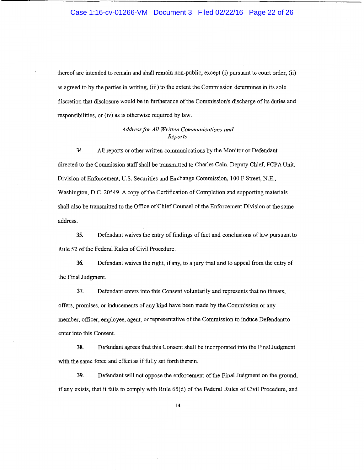## Case 1:16-cv-01266-VM Document 3 Filed 02/22/16 Page 22 of 26

thereof are intended to remain and shall remain non-public, except (i) pursuant to court order, (ii) as agreed to by the parties in writing, (iii) to the extent the Commission determines in its sole discretion that disclosure would be in furtherance of the Commission's discharge of its duties and responsibilities, or (iv) as is otherwise required by law.

## *Address for All Written Communications and Reports*

34. All reports or other written communications by the Monitor or Defendant directed to the Commission staff shall be transmitted to Charles Cain, Deputy Chief, FCPA Unit, Division of Enforcement, U.S. Securities and Exchange Commission, 100 F Street, N.E., Washington, D.C. 20549. A copy of the Certification of Completion and supporting materials shall also be transmitted to the Office of Chief Counsel of the Enforcement Division at the same address.

35. Defendant waives the entry of findings of fact and conclusions of law pursuant to Rule 52 of the Federal Rules of Civil Procedure.

36. Defendant waives the right, if any, to a jury trial and to appeal from the entry of the Final Judgment.

37. Defendant enters into this Consent voluntarily and represents that no threats, offers, promises, or inducements of any kind have been made by the Commission or any member, officer, employee, agent, or representative of the Commission to induce Defendantto enter into this Consent.

38. Defendant agrees that this Consent shall be incorporated into the Final Judgment with the same force and effect as if fully set forth therein.

39. Defendant will not oppose the enforcement of the Final Judgment on the ground, if any exists, that it fails to comply with Rule 65(d) of the Federal Rules of Civil Procedure, and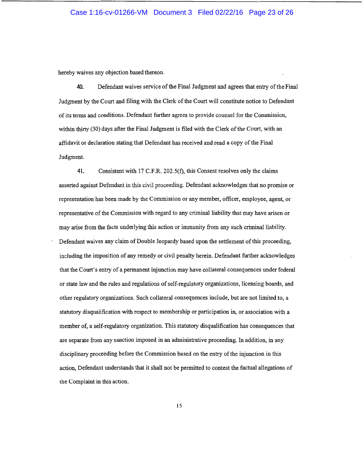hereby waives any objection based thereon.

40. Defendant waives service of the Final Judgment and agrees that entry of the Final Judgment by the Court and filing with the Clerk of the Court will constitute notice to Defendant of its terms and conditions. Defendant further agrees to provide counsel for the Commission, within thirty (30) days after the Final Judgment is filed with the Clerk of the Court, with an affidavit or declaration stating that Defendant has received and read a copy of the Final Judgment.

41. Consistent with 17 C.F.R. 202.S(f), this Consent resolves only the claims asserted against Defendant in this civil proceeding. Defendant acknowledges that no promise or representation has been made by the Commission or any member, officer, employee, agent, or representative of the Commission with regard to any criminal liability that may have arisen or may arise from the facts underlying this action or immunity from any such criminal liability. Defendant waives any claim of Double Jeopardy based upon the settlement of this proceeding, including the imposition of any remedy or civil penalty herein. Defendant further acknowledges that the Court's entry of a permanent injunction may have collateral consequences under federal or state law and the rules and regulations of self-regulatory organizations, licensing boards, and other regulatory organizations. Such collateral consequences include, but are not limited to, a statutory disqualification with respect to membership or participation in, or association with a member of, a self-regulatory organization. This statutory disqualification has consequences that are separate from any sanction imposed in an administrative proceeding. In addition, in any disciplinary proceeding before the Commission based on the entry of the injunction in this action, Defendant understands that it shall not be permitted to contest the factual allegations of the Complaint in this action.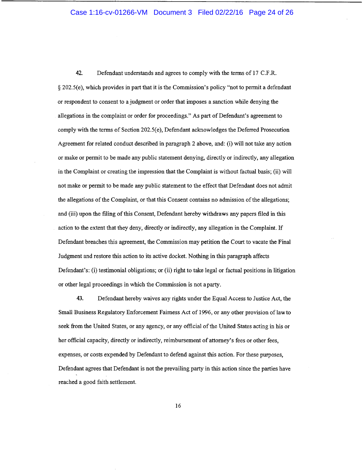# Case 1:16-cv-01266-VM Document 3 Filed 02/22/16 Page 24 of 26

42. Defendant understands and agrees to comply with the terms of 17 C.F.R. § 202.5(e), which provides in part that it is the Commission's policy "not to permit a defendant or respondent to consent to a judgment or order that imposes a sanction while denying the allegations in the complaint or order for proceedings." As part of Defendant's agreement to comply with the terms of Section 202.5(e), Defendant acknowledges the Deferred Prosecution Agreement for related conduct described in paragraph 2 above, and: (i) will not take any action or make or permit to be made any public statement denying, directly or indirectly, any allegation in the Complaint or creating the impression that the Complaint is without factual basis; (ii) will not make or permit to be made any public statement to the effect that Defendant does not admit the allegations of the Complaint, or that this Consent contains no admission of the allegations; and (iii) upon the filing of this Consent, Defendant hereby withdraws any papers filed in this action to the extent that they deny, directly or indirectly, any allegation in the Complaint. If Defendant breaches this agreement, the Commission may petition the Court to vacate the Final Judgment and restore this action to its active docket. Nothing in this paragraph affects Defendant's: (i) testimonial obligations; or (ii) right to take legal or factual positions in litigation or other legal proceedings in which the Commission is not a party.

43. Defendant hereby waives any rights under the Equal Access to Justice Act, the Small Business Regulatory Enforcement Fairness Act of 1996, or any other provision of law to seek from the United States, or any agency, or any official of the United States acting in his or her official capacity, directly or indirectly, reimbursement of attorney's fees or other fees, expenses, or costs expended by Defendant to defend against this action. For these purposes, Defendant agrees that Defendant is not the prevailing party in this action since the parties have reached a good faith settlement.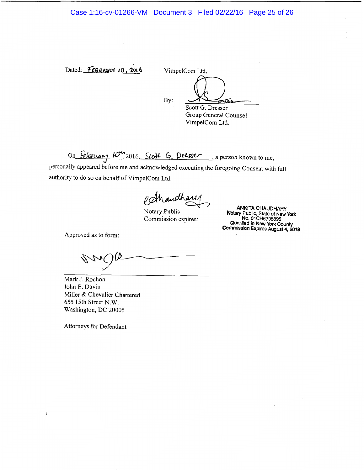Dated: FEBRUARY 10, 2016

VimpelCom Ltd.

By:

Scott G. Dresser Group General Counsel VimpelCom Ltd.

On *february*  $10^{14}$  2016, *Stolt* G. *Dresser*, a person known to me,

personally appeared before me and acknowledged executing the foregoing Consent with full authority to do so on behalf of VimpelCom Ltd. SLOT C, Pressex, a person known to me,<br>
Exhowledged executing the foregoing Consent with<br>
ECOM Ltd.<br>
CM and have and the property of the MOTAL CHAUDER<br>
Notary Public Notary Public, State of<br>
Commission expires:

Notary Public Commission expires:

ANKITA CHAUDHARY Notary Public, State of New York No. 01 CH6308896 Ouatified in New York County Commission Expires August 4, 2018

Approved as to form:

ens

Mark J. Rochon John E. Davis Miller & Chevalier Chartered 655 15th Street N.W. Washington, DC 20005

Attorneys for Defendant

 $\mathop{!}\limits_{\mathop{\longleftarrow}}$